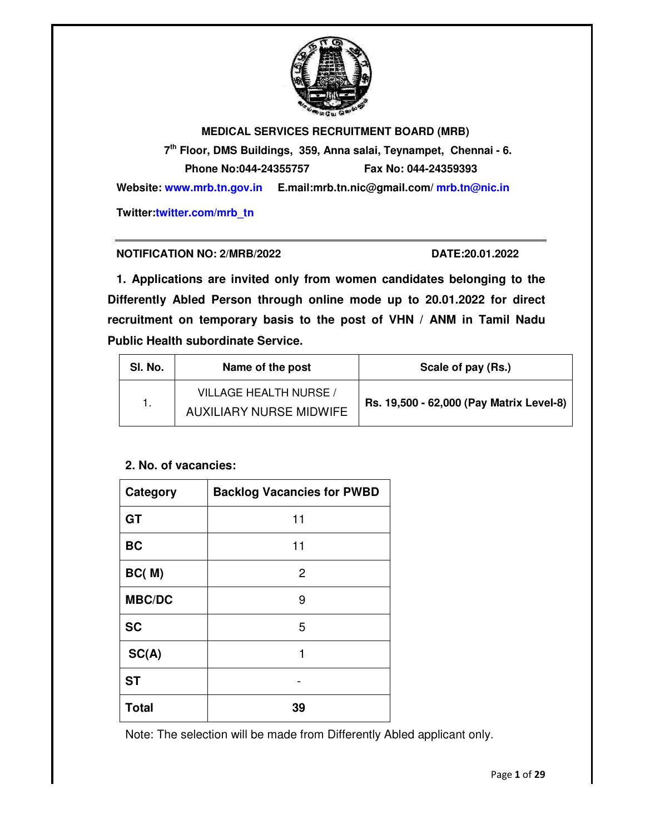

**MEDICAL SERVICES RECRUITMENT BOARD (MRB) 7th Floor, DMS Buildings, 359, Anna salai, Teynampet, Chennai Phone No:044 Website: www.mrb.tn.gov.in www.mrb.tn.gov.in E.mail:mrb.tn.nic@gmail.com/ mrb.tn@nic.in mrb.tn@nic.in Twitter:twitter.com/mrb\_tn twitter.com/mrb\_tnBOARD Phone No:044-24355757 Fax No: 044-24359393** Anna salai, Teynampet, Chennai - 6.

## **NOTIFICATION NO: 2/MRB/20**

/MRB/2022 **DATE:20.01.2022** 

1. Applications are invited only from women candidates belonging to the **Differently Abled Person through online mode up to 20.01.2022 belonging 2022 for direct**  recruitment on temporary basis to the post of VHN / ANM in Tamil Nadu **Public Health subordinate Service Service.** 

| SI. No. | Name of the post               | Scale of pay (Rs.)                       |  |
|---------|--------------------------------|------------------------------------------|--|
|         | VILLAGE HEALTH NURSE /         | Rs. 19,500 - 62,000 (Pay Matrix Level-8) |  |
|         | <b>AUXILIARY NURSE MIDWIFE</b> |                                          |  |

# **2. No. of vacancies:**

| Category      | <b>Backlog Vacancies for PWBD</b> |
|---------------|-----------------------------------|
| <b>GT</b>     | 11                                |
| <b>BC</b>     | 11                                |
| BC(M)         | 2                                 |
| <b>MBC/DC</b> | 9                                 |
| <b>SC</b>     | 5                                 |
| SC(A)         | 1                                 |
| <b>ST</b>     |                                   |
| <b>Total</b>  | 39                                |

Note: The selection will be made from Differently Abled applicant only.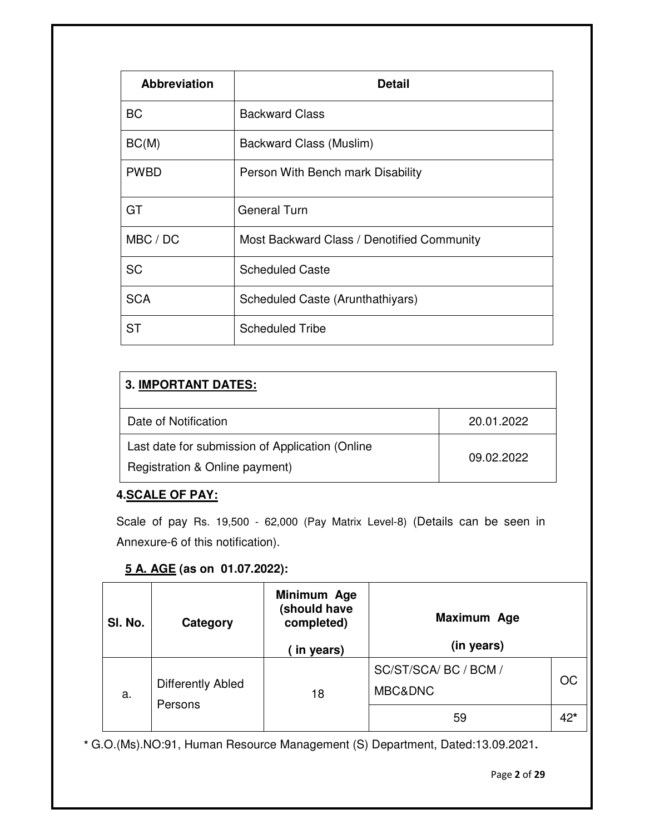| <b>Abbreviation</b> | <b>Detail</b>                              |
|---------------------|--------------------------------------------|
| BC                  | <b>Backward Class</b>                      |
| BC(M)               | Backward Class (Muslim)                    |
| <b>PWBD</b>         | Person With Bench mark Disability          |
| GT                  | <b>General Turn</b>                        |
| MBC / DC            | Most Backward Class / Denotified Community |
| <b>SC</b>           | <b>Scheduled Caste</b>                     |
| <b>SCA</b>          | Scheduled Caste (Arunthathiyars)           |
| <b>ST</b>           | <b>Scheduled Tribe</b>                     |

| <b>3. IMPORTANT DATES:</b>                                                                      |            |  |  |
|-------------------------------------------------------------------------------------------------|------------|--|--|
| Date of Notification                                                                            | 20.01.2022 |  |  |
| Last date for submission of Application (Online<br>09.02.2022<br>Registration & Online payment) |            |  |  |

# **4.SCALE OF PAY:**

Scale of pay Rs. 19,500 - 62,000 (Pay Matrix Level-8) (Details can be seen in Annexure-6 of this notification).

# **5 A. AGE (as on 01.07.2022):**

| SI. No. | Category                     | Minimum Age<br>(should have<br>completed)<br>in years) | Maximum Age<br>(in years)       |     |
|---------|------------------------------|--------------------------------------------------------|---------------------------------|-----|
| a.      | Differently Abled<br>Persons | 18                                                     | SC/ST/SCA/BC / BCM /<br>MBC&DNC | OC  |
|         |                              |                                                        | 59                              | 42* |

**\*** G.O.(Ms).NO:91, Human Resource Management (S) Department, Dated:13.09.2021**.**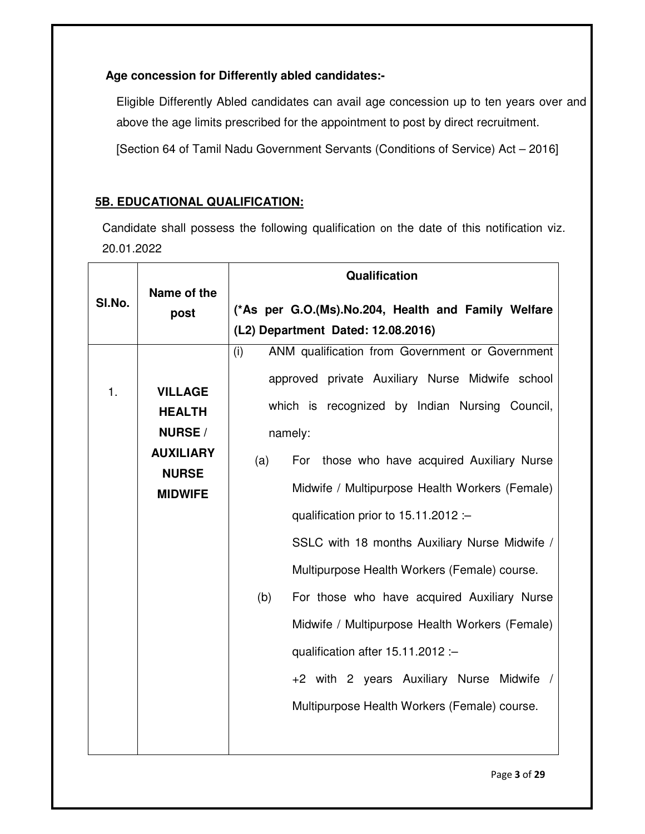# **Age concession for Differently abled candidates:-**

Eligible Differently Abled candidates can avail age concession up to ten years over and above the age limits prescribed for the appointment to post by direct recruitment.

[Section 64 of Tamil Nadu Government Servants (Conditions of Service) Act – 2016]

# **5B. EDUCATIONAL QUALIFICATION:**

Candidate shall possess the following qualification on the date of this notification viz. 20.01.2022

|                  | <b>Qualification</b>                                                                              |
|------------------|---------------------------------------------------------------------------------------------------|
| post             | (*As per G.O.(Ms).No.204, Health and Family Welfare<br>(L2) Department Dated: 12.08.2016)         |
|                  | ANM qualification from Government or Government<br>(i)                                            |
| <b>VILLAGE</b>   | approved private Auxiliary Nurse Midwife school<br>which is recognized by Indian Nursing Council, |
|                  | namely:                                                                                           |
| <b>AUXILIARY</b> | For those who have acquired Auxiliary Nurse<br>(a)                                                |
| <b>MIDWIFE</b>   | Midwife / Multipurpose Health Workers (Female)                                                    |
|                  | qualification prior to $15.11.2012$ :                                                             |
|                  | SSLC with 18 months Auxiliary Nurse Midwife /                                                     |
|                  | Multipurpose Health Workers (Female) course.                                                      |
|                  | For those who have acquired Auxiliary Nurse<br>(b)                                                |
|                  | Midwife / Multipurpose Health Workers (Female)                                                    |
|                  | qualification after 15.11.2012 :-                                                                 |
|                  | +2 with 2 years Auxiliary Nurse Midwife /                                                         |
|                  | Multipurpose Health Workers (Female) course.                                                      |
|                  | Name of the<br><b>HEALTH</b><br><b>NURSE</b> /<br><b>NURSE</b>                                    |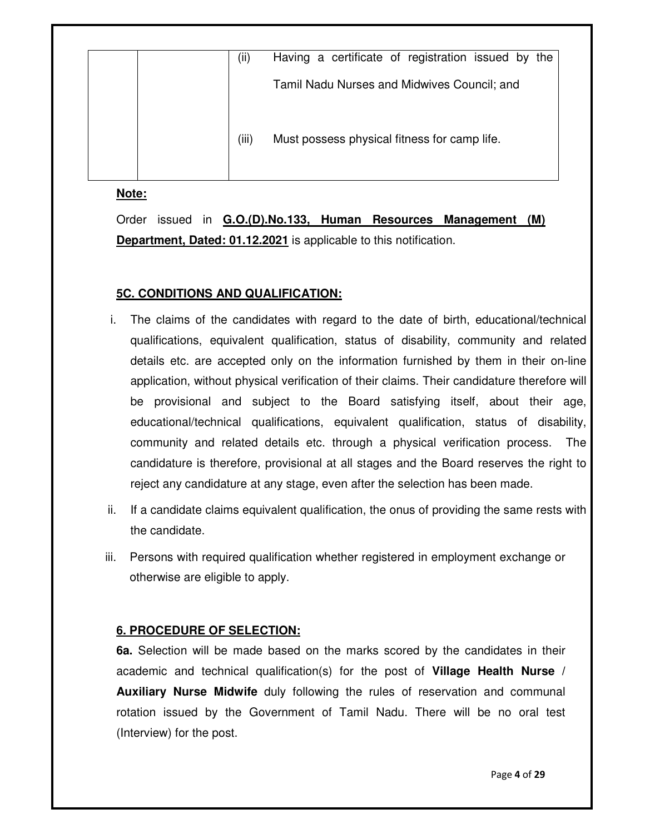| (ii)  | Having a certificate of registration issued by the |
|-------|----------------------------------------------------|
|       | Tamil Nadu Nurses and Midwives Council; and        |
| (iii) | Must possess physical fitness for camp life.       |

## **Note:**

Order issued in **G.O.(D).No.133, Human Resources Management (M) Department, Dated: 01.12.2021** is applicable to this notification.

## **5C. CONDITIONS AND QUALIFICATION:**

- i. The claims of the candidates with regard to the date of birth, educational/technical qualifications, equivalent qualification, status of disability, community and related details etc. are accepted only on the information furnished by them in their on-line application, without physical verification of their claims. Their candidature therefore will be provisional and subject to the Board satisfying itself, about their age, educational/technical qualifications, equivalent qualification, status of disability, community and related details etc. through a physical verification process. The candidature is therefore, provisional at all stages and the Board reserves the right to reject any candidature at any stage, even after the selection has been made.
- ii. If a candidate claims equivalent qualification, the onus of providing the same rests with the candidate.
- iii. Persons with required qualification whether registered in employment exchange or otherwise are eligible to apply.

# **6. PROCEDURE OF SELECTION:**

**6a.** Selection will be made based on the marks scored by the candidates in their academic and technical qualification(s) for the post of **Village Health Nurse / Auxiliary Nurse Midwife** duly following the rules of reservation and communal rotation issued by the Government of Tamil Nadu. There will be no oral test (Interview) for the post.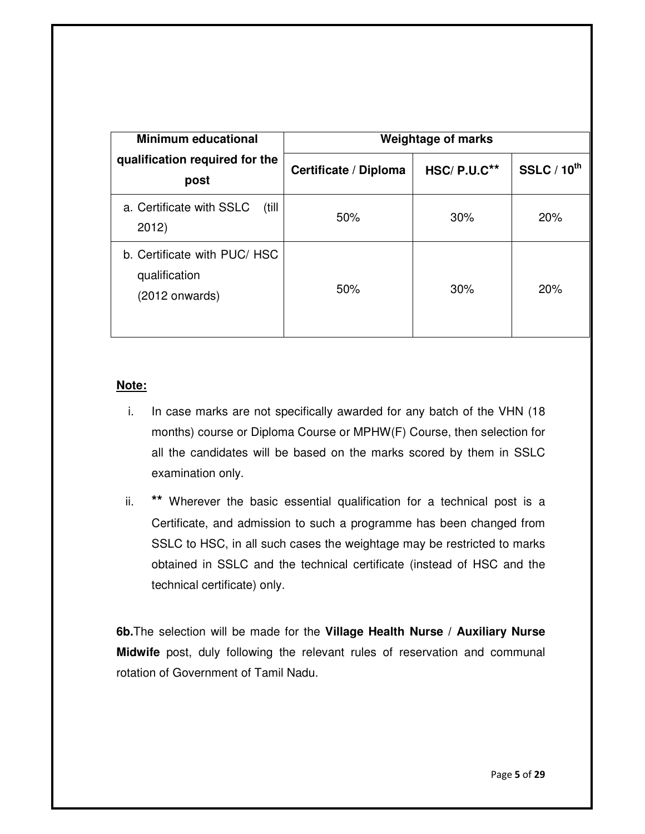| <b>Minimum educational</b>                                        | <b>Weightage of marks</b> |               |                  |
|-------------------------------------------------------------------|---------------------------|---------------|------------------|
| qualification required for the<br>post                            | Certificate / Diploma     | $HSC/P.U.C**$ | SSLC / $10^{th}$ |
| a. Certificate with SSLC<br>(till<br>2012)                        | 50%                       | 30%           | 20%              |
| b. Certificate with PUC/ HSC<br>qualification<br>$(2012$ onwards) | 50%                       | 30%           | 20%              |

## **Note:**

- i. In case marks are not specifically awarded for any batch of the VHN (18 months) course or Diploma Course or MPHW(F) Course, then selection for all the candidates will be based on the marks scored by them in SSLC examination only.
- ii. **\*\*** Wherever the basic essential qualification for a technical post is a Certificate, and admission to such a programme has been changed from SSLC to HSC, in all such cases the weightage may be restricted to marks obtained in SSLC and the technical certificate (instead of HSC and the technical certificate) only.

**6b.**The selection will be made for the **Village Health Nurse / Auxiliary Nurse Midwife** post, duly following the relevant rules of reservation and communal rotation of Government of Tamil Nadu.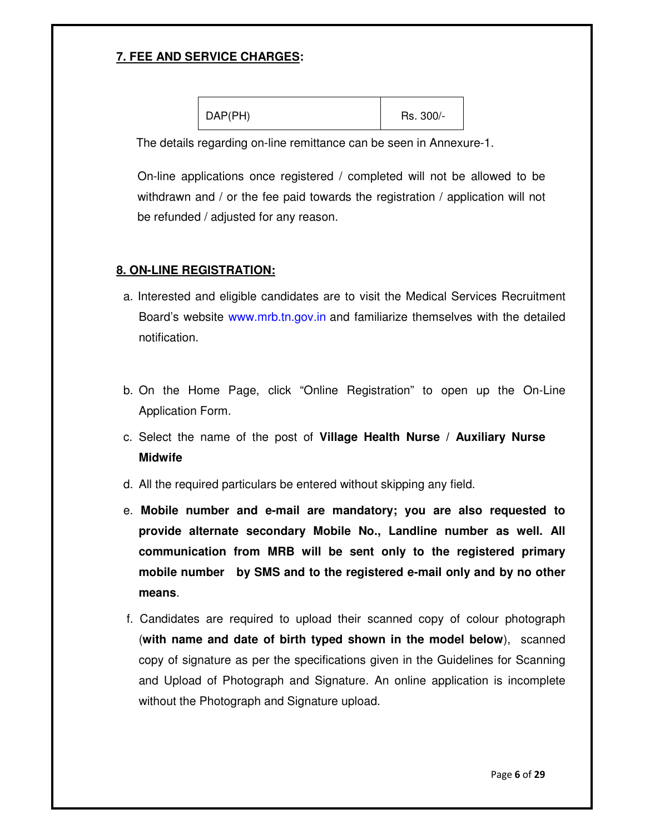# **7. FEE AND SERVICE CHARGES:**

The details regarding on-line remittance can be seen in Annexure-1.

On-line applications once registered / completed will not be allowed to be withdrawn and / or the fee paid towards the registration / application will not be refunded / adjusted for any reason.

## **8. ON-LINE REGISTRATION:**

- a. Interested and eligible candidates are to visit the Medical Services Recruitment Board's website www.mrb.tn.gov.in and familiarize themselves with the detailed notification.
- b. On the Home Page, click "Online Registration" to open up the On-Line Application Form.
- c. Select the name of the post of **Village Health Nurse / Auxiliary Nurse Midwife**
- d. All the required particulars be entered without skipping any field.
- e. **Mobile number and e-mail are mandatory; you are also requested to provide alternate secondary Mobile No., Landline number as well. All communication from MRB will be sent only to the registered primary mobile number by SMS and to the registered e-mail only and by no other means**.
- f. Candidates are required to upload their scanned copy of colour photograph (**with name and date of birth typed shown in the model below**), scanned copy of signature as per the specifications given in the Guidelines for Scanning and Upload of Photograph and Signature. An online application is incomplete without the Photograph and Signature upload.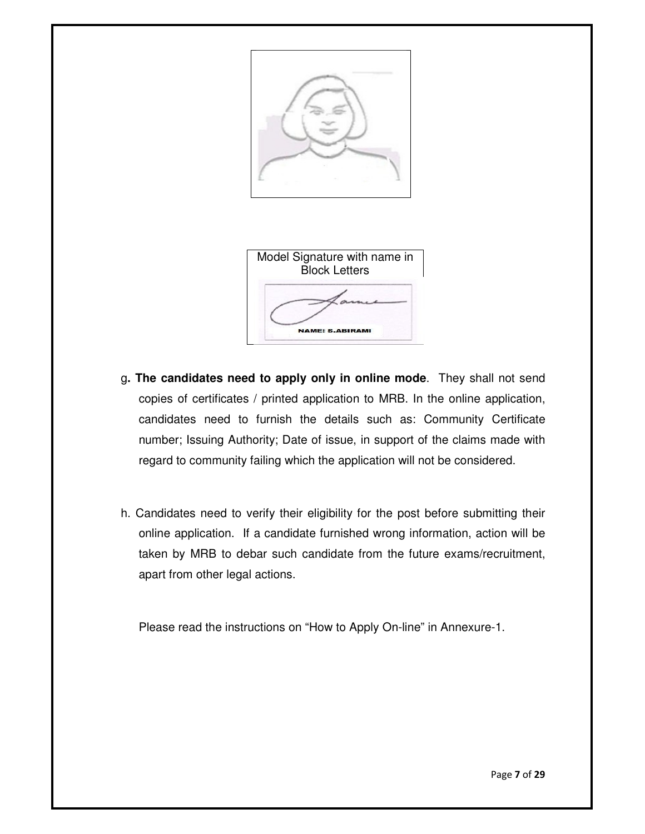

| Model Signature with name in<br><b>Block Letters</b> |
|------------------------------------------------------|
|                                                      |
| <b>NAME: S.ABIRAMI</b>                               |

- g**. The candidates need to apply only in online mode**. They shall not send copies of certificates / printed application to MRB. In the online application, candidates need to furnish the details such as: Community Certificate number; Issuing Authority; Date of issue, in support of the claims made with regard to community failing which the application will not be considered.
- h. Candidates need to verify their eligibility for the post before submitting their online application. If a candidate furnished wrong information, action will be taken by MRB to debar such candidate from the future exams/recruitment, apart from other legal actions.

Please read the instructions on "How to Apply On-line" in Annexure-1.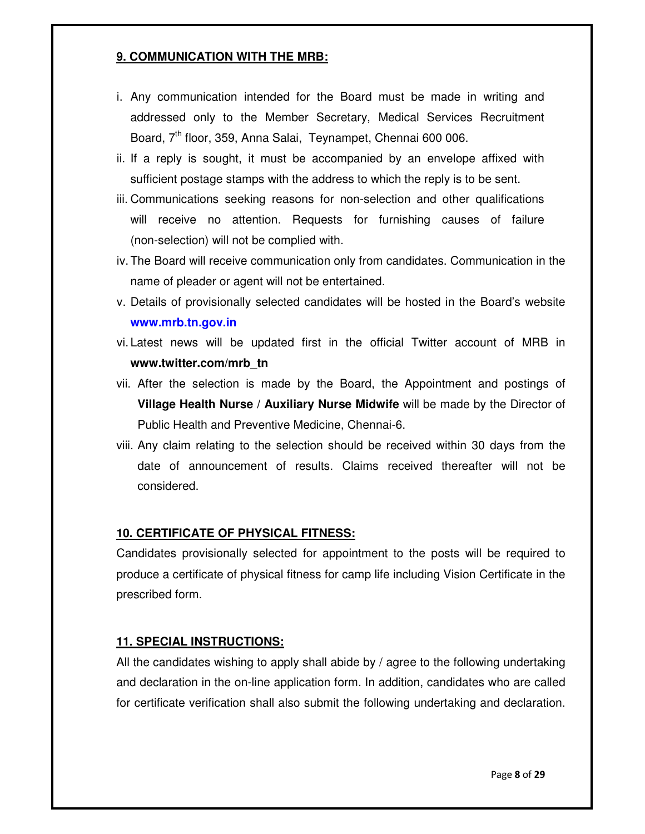# **9. COMMUNICATION WITH THE MRB:**

- i. Any communication intended for the Board must be made in writing and addressed only to the Member Secretary, Medical Services Recruitment Board,  $7<sup>th</sup>$  floor, 359, Anna Salai, Teynampet, Chennai 600 006.
- ii. If a reply is sought, it must be accompanied by an envelope affixed with sufficient postage stamps with the address to which the reply is to be sent.
- iii. Communications seeking reasons for non-selection and other qualifications will receive no attention. Requests for furnishing causes of failure (non-selection) will not be complied with.
- iv. The Board will receive communication only from candidates. Communication in the name of pleader or agent will not be entertained.
- v. Details of provisionally selected candidates will be hosted in the Board's website **www.mrb.tn.gov.in**
- vi. Latest news will be updated first in the official Twitter account of MRB in **www.twitter.com/mrb\_tn**
- vii. After the selection is made by the Board, the Appointment and postings of **Village Health Nurse / Auxiliary Nurse Midwife** will be made by the Director of Public Health and Preventive Medicine, Chennai-6.
- viii. Any claim relating to the selection should be received within 30 days from the date of announcement of results. Claims received thereafter will not be considered.

# **10. CERTIFICATE OF PHYSICAL FITNESS:**

Candidates provisionally selected for appointment to the posts will be required to produce a certificate of physical fitness for camp life including Vision Certificate in the prescribed form.

# **11. SPECIAL INSTRUCTIONS:**

All the candidates wishing to apply shall abide by  $\ell$  agree to the following undertaking and declaration in the on-line application form. In addition, candidates who are called for certificate verification shall also submit the following undertaking and declaration.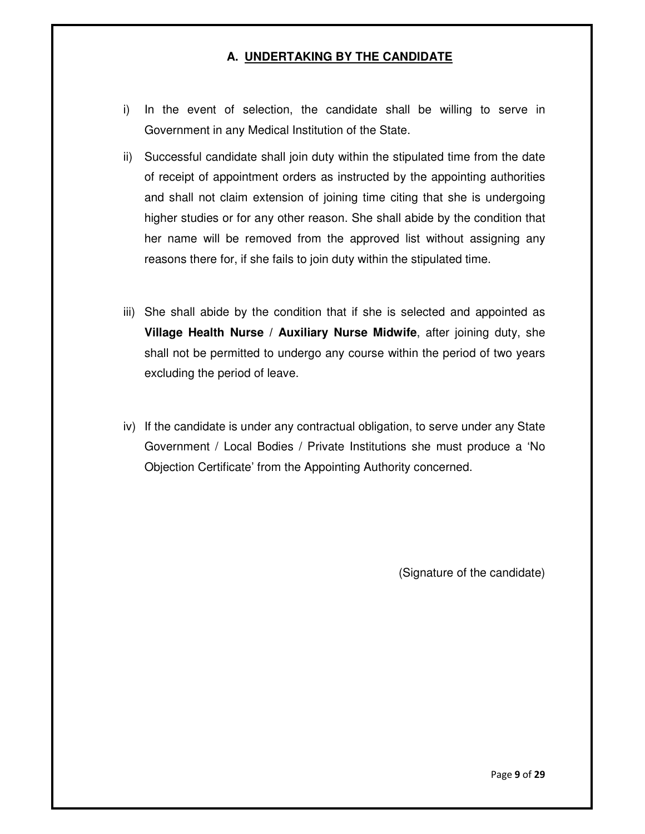# **A. UNDERTAKING BY THE CANDIDATE**

- i) In the event of selection, the candidate shall be willing to serve in Government in any Medical Institution of the State.
- ii) Successful candidate shall join duty within the stipulated time from the date of receipt of appointment orders as instructed by the appointing authorities and shall not claim extension of joining time citing that she is undergoing higher studies or for any other reason. She shall abide by the condition that her name will be removed from the approved list without assigning any reasons there for, if she fails to join duty within the stipulated time.
- iii) She shall abide by the condition that if she is selected and appointed as **Village Health Nurse / Auxiliary Nurse Midwife**, after joining duty, she shall not be permitted to undergo any course within the period of two years excluding the period of leave.
- iv) If the candidate is under any contractual obligation, to serve under any State Government / Local Bodies / Private Institutions she must produce a 'No Objection Certificate' from the Appointing Authority concerned.

(Signature of the candidate)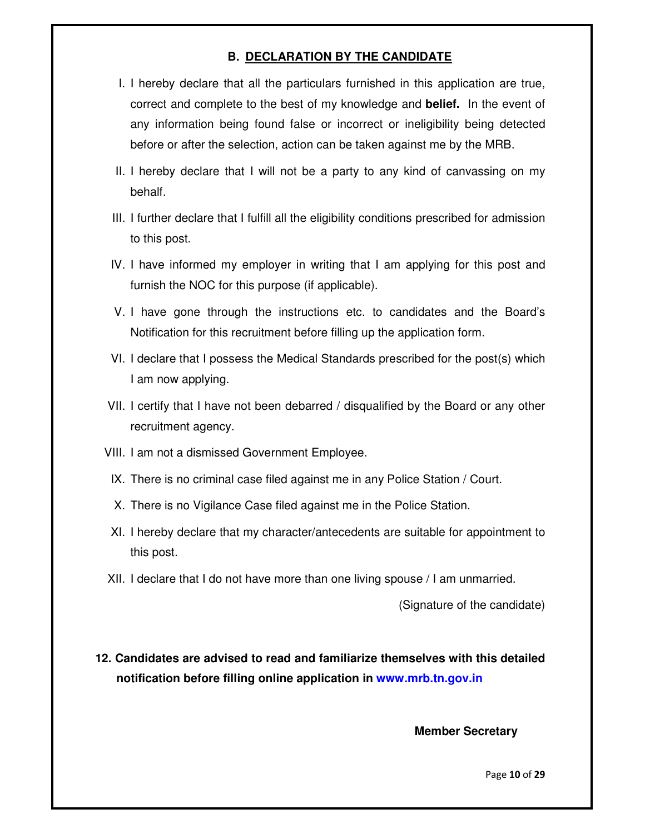# **B. DECLARATION BY THE CANDIDATE**

- I. I hereby declare that all the particulars furnished in this application are true, correct and complete to the best of my knowledge and **belief.** In the event of any information being found false or incorrect or ineligibility being detected before or after the selection, action can be taken against me by the MRB.
- II. I hereby declare that I will not be a party to any kind of canvassing on my behalf.
- III. I further declare that I fulfill all the eligibility conditions prescribed for admission to this post.
- IV. I have informed my employer in writing that I am applying for this post and furnish the NOC for this purpose (if applicable).
- V. I have gone through the instructions etc. to candidates and the Board's Notification for this recruitment before filling up the application form.
- VI. I declare that I possess the Medical Standards prescribed for the post(s) which I am now applying.
- VII. I certify that I have not been debarred / disqualified by the Board or any other recruitment agency.
- VIII. I am not a dismissed Government Employee.
- IX. There is no criminal case filed against me in any Police Station / Court.
- X. There is no Vigilance Case filed against me in the Police Station.
- XI. I hereby declare that my character/antecedents are suitable for appointment to this post.
- XII. I declare that I do not have more than one living spouse / I am unmarried.

(Signature of the candidate)

**12. Candidates are advised to read and familiarize themselves with this detailed notification before filling online application in www.mrb.tn.gov.in**

#### **Member Secretary**

Page **10** of **29**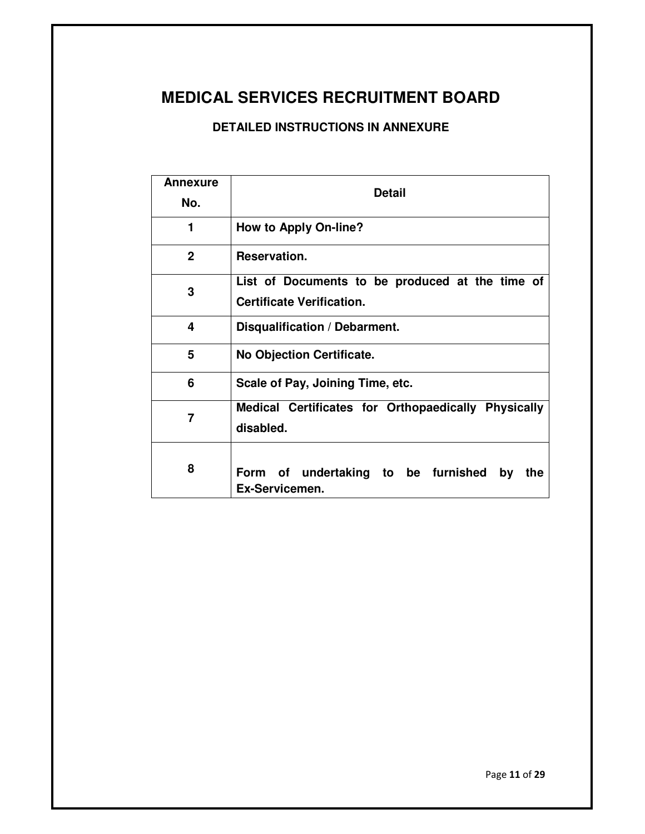# **MEDICAL SERVICES RECRUITMENT BOARD**

# **DETAILED INSTRUCTIONS IN ANNEXURE**

| Annexure<br>No. | <b>Detail</b>                                                                       |  |  |
|-----------------|-------------------------------------------------------------------------------------|--|--|
| 1               | <b>How to Apply On-line?</b>                                                        |  |  |
| $\mathbf{2}$    | Reservation.                                                                        |  |  |
| 3               | List of Documents to be produced at the time of<br><b>Certificate Verification.</b> |  |  |
| 4               | Disqualification / Debarment.                                                       |  |  |
| 5               | No Objection Certificate.                                                           |  |  |
| 6               | Scale of Pay, Joining Time, etc.                                                    |  |  |
| 7               | Medical Certificates for Orthopaedically Physically<br>disabled.                    |  |  |
| 8               | Form of undertaking to be furnished by<br>the<br>Ex-Servicemen.                     |  |  |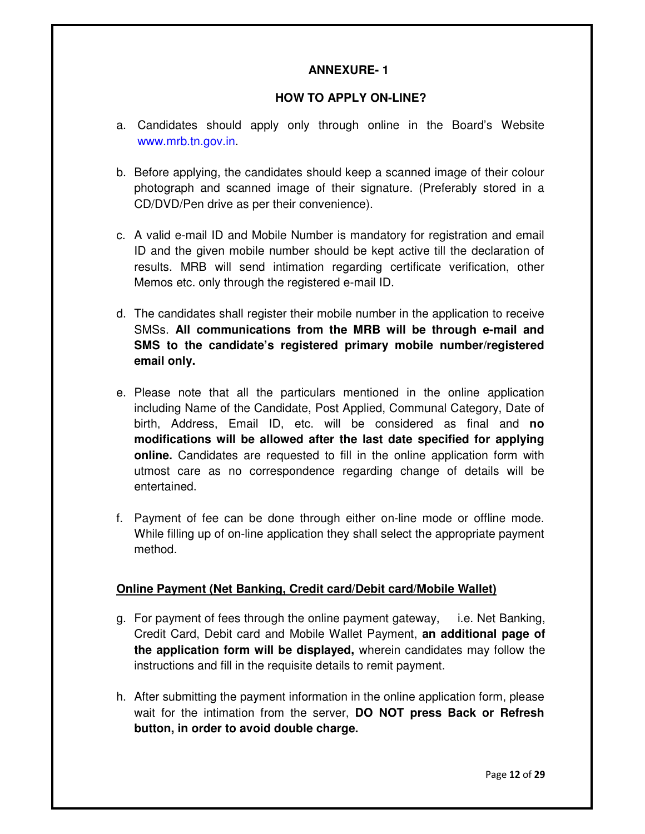# **ANNEXURE- 1**

### **HOW TO APPLY ON-LINE?**

- a. Candidates should apply only through online in the Board's Website www.mrb.tn.gov.in.
- b. Before applying, the candidates should keep a scanned image of their colour photograph and scanned image of their signature. (Preferably stored in a CD/DVD/Pen drive as per their convenience).
- c. A valid e-mail ID and Mobile Number is mandatory for registration and email ID and the given mobile number should be kept active till the declaration of results. MRB will send intimation regarding certificate verification, other Memos etc. only through the registered e-mail ID.
- d. The candidates shall register their mobile number in the application to receive SMSs. **All communications from the MRB will be through e-mail and SMS to the candidate's registered primary mobile number/registered email only.**
- e. Please note that all the particulars mentioned in the online application including Name of the Candidate, Post Applied, Communal Category, Date of birth, Address, Email ID, etc. will be considered as final and **no modifications will be allowed after the last date specified for applying online.** Candidates are requested to fill in the online application form with utmost care as no correspondence regarding change of details will be entertained.
- f. Payment of fee can be done through either on-line mode or offline mode. While filling up of on-line application they shall select the appropriate payment method.

## **Online Payment (Net Banking, Credit card/Debit card/Mobile Wallet)**

- g. For payment of fees through the online payment gateway, i.e. Net Banking, Credit Card, Debit card and Mobile Wallet Payment, **an additional page of the application form will be displayed,** wherein candidates may follow the instructions and fill in the requisite details to remit payment.
- h. After submitting the payment information in the online application form, please wait for the intimation from the server, **DO NOT press Back or Refresh button, in order to avoid double charge.**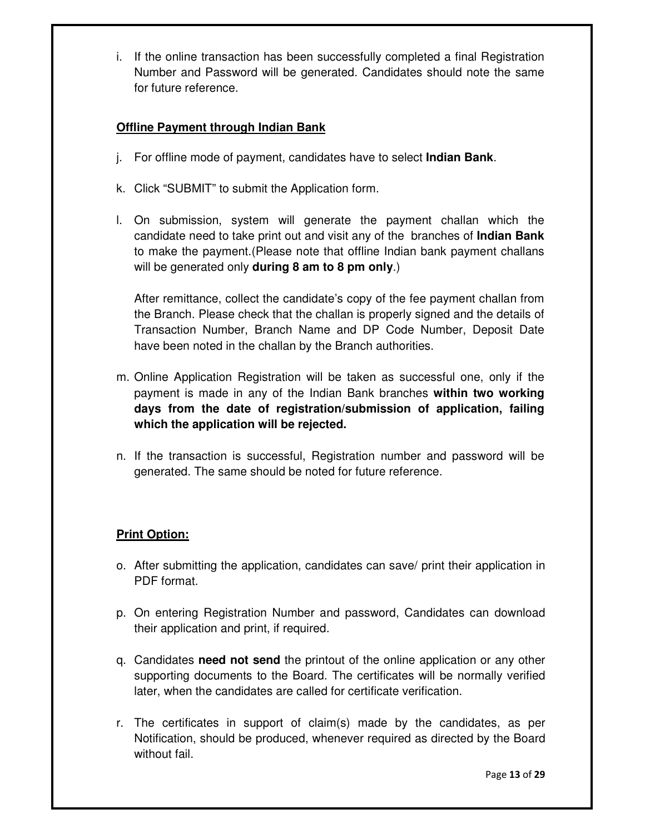i. If the online transaction has been successfully completed a final Registration Number and Password will be generated. Candidates should note the same for future reference.

# **Offline Payment through Indian Bank**

- j. For offline mode of payment, candidates have to select **Indian Bank**.
- k. Click "SUBMIT" to submit the Application form.
- l. On submission, system will generate the payment challan which the candidate need to take print out and visit any of the branches of **Indian Bank** to make the payment.(Please note that offline Indian bank payment challans will be generated only **during 8 am to 8 pm only**.)

After remittance, collect the candidate's copy of the fee payment challan from the Branch. Please check that the challan is properly signed and the details of Transaction Number, Branch Name and DP Code Number, Deposit Date have been noted in the challan by the Branch authorities.

- m. Online Application Registration will be taken as successful one, only if the payment is made in any of the Indian Bank branches **within two working days from the date of registration/submission of application, failing which the application will be rejected.**
- n. If the transaction is successful, Registration number and password will be generated. The same should be noted for future reference.

# **Print Option:**

- o. After submitting the application, candidates can save/ print their application in PDF format.
- p. On entering Registration Number and password, Candidates can download their application and print, if required.
- q. Candidates **need not send** the printout of the online application or any other supporting documents to the Board. The certificates will be normally verified later, when the candidates are called for certificate verification.
- r. The certificates in support of claim(s) made by the candidates, as per Notification, should be produced, whenever required as directed by the Board without fail.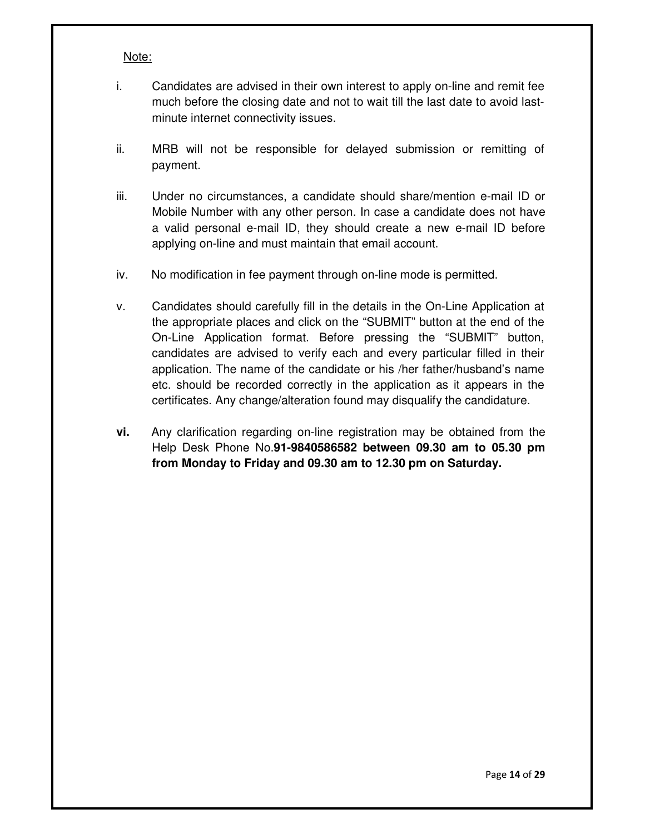#### Note:

- i. Candidates are advised in their own interest to apply on-line and remit fee much before the closing date and not to wait till the last date to avoid lastminute internet connectivity issues.
- ii. MRB will not be responsible for delayed submission or remitting of payment.
- iii. Under no circumstances, a candidate should share/mention e-mail ID or Mobile Number with any other person. In case a candidate does not have a valid personal e-mail ID, they should create a new e-mail ID before applying on-line and must maintain that email account.
- iv. No modification in fee payment through on-line mode is permitted.
- v. Candidates should carefully fill in the details in the On-Line Application at the appropriate places and click on the "SUBMIT" button at the end of the On-Line Application format. Before pressing the "SUBMIT" button, candidates are advised to verify each and every particular filled in their application. The name of the candidate or his /her father/husband's name etc. should be recorded correctly in the application as it appears in the certificates. Any change/alteration found may disqualify the candidature.
- **vi.** Any clarification regarding on-line registration may be obtained from the Help Desk Phone No.**91-9840586582 between 09.30 am to 05.30 pm from Monday to Friday and 09.30 am to 12.30 pm on Saturday.**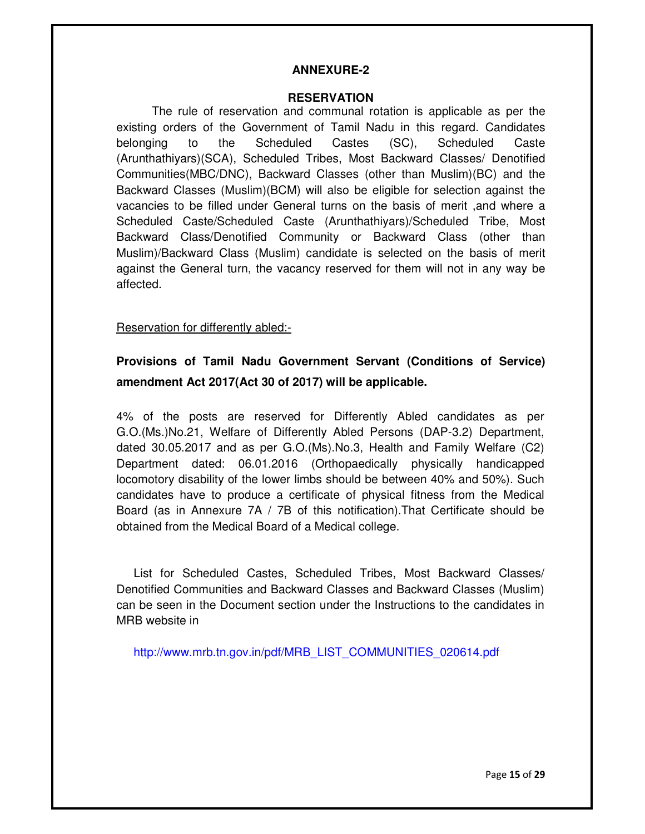#### **ANNEXURE-2**

#### **RESERVATION**

The rule of reservation and communal rotation is applicable as per the existing orders of the Government of Tamil Nadu in this regard. Candidates belonging to the Scheduled Castes (SC), Scheduled Caste (Arunthathiyars)(SCA), Scheduled Tribes, Most Backward Classes/ Denotified Communities(MBC/DNC), Backward Classes (other than Muslim)(BC) and the Backward Classes (Muslim)(BCM) will also be eligible for selection against the vacancies to be filled under General turns on the basis of merit ,and where a Scheduled Caste/Scheduled Caste (Arunthathiyars)/Scheduled Tribe, Most Backward Class/Denotified Community or Backward Class (other than Muslim)/Backward Class (Muslim) candidate is selected on the basis of merit against the General turn, the vacancy reserved for them will not in any way be affected.

## Reservation for differently abled:-

# **Provisions of Tamil Nadu Government Servant (Conditions of Service) amendment Act 2017(Act 30 of 2017) will be applicable.**

4% of the posts are reserved for Differently Abled candidates as per G.O.(Ms.)No.21, Welfare of Differently Abled Persons (DAP-3.2) Department, dated 30.05.2017 and as per G.O.(Ms).No.3, Health and Family Welfare (C2) Department dated: 06.01.2016 (Orthopaedically physically handicapped locomotory disability of the lower limbs should be between 40% and 50%). Such candidates have to produce a certificate of physical fitness from the Medical Board (as in Annexure 7A / 7B of this notification).That Certificate should be obtained from the Medical Board of a Medical college.

List for Scheduled Castes, Scheduled Tribes, Most Backward Classes/ Denotified Communities and Backward Classes and Backward Classes (Muslim) can be seen in the Document section under the Instructions to the candidates in MRB website in

http://www.mrb.tn.gov.in/pdf/MRB\_LIST\_COMMUNITIES\_020614.pdf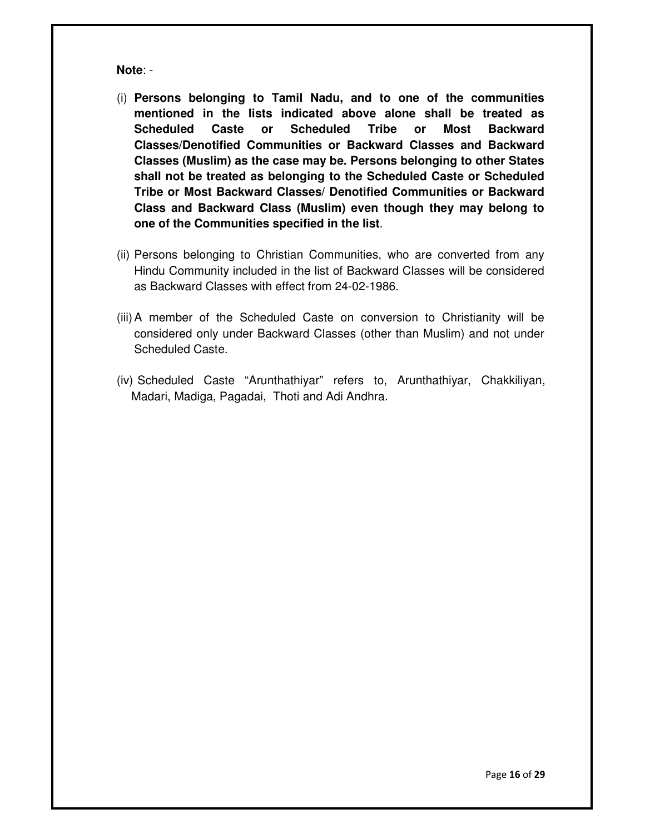**Note**: -

- (i) **Persons belonging to Tamil Nadu, and to one of the communities mentioned in the lists indicated above alone shall be treated as Scheduled Caste or Scheduled Tribe or Most Backward Classes/Denotified Communities or Backward Classes and Backward Classes (Muslim) as the case may be. Persons belonging to other States shall not be treated as belonging to the Scheduled Caste or Scheduled Tribe or Most Backward Classes/ Denotified Communities or Backward Class and Backward Class (Muslim) even though they may belong to one of the Communities specified in the list**.
- (ii) Persons belonging to Christian Communities, who are converted from any Hindu Community included in the list of Backward Classes will be considered as Backward Classes with effect from 24-02-1986.
- (iii) A member of the Scheduled Caste on conversion to Christianity will be considered only under Backward Classes (other than Muslim) and not under Scheduled Caste.
- (iv) Scheduled Caste "Arunthathiyar" refers to, Arunthathiyar, Chakkiliyan, Madari, Madiga, Pagadai, Thoti and Adi Andhra.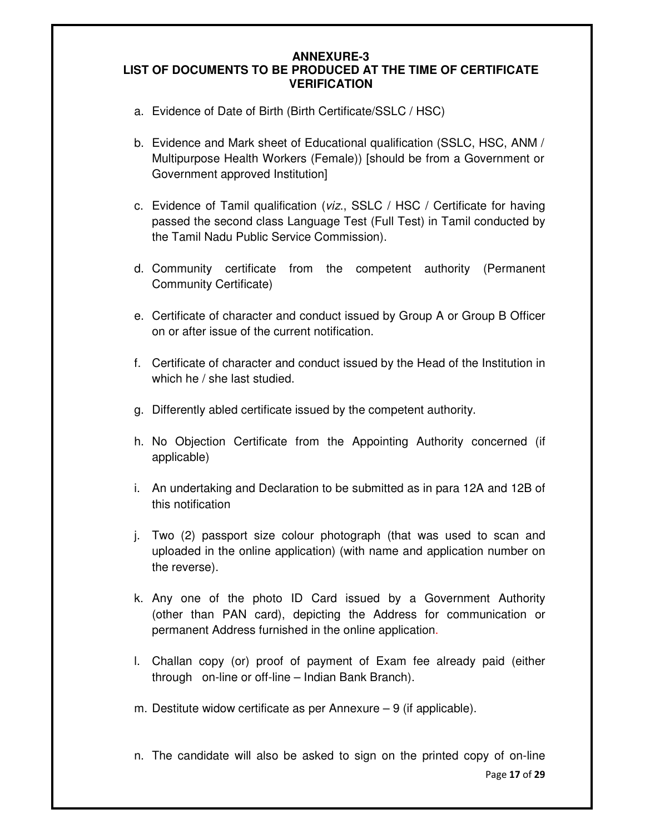### **ANNEXURE-3 LIST OF DOCUMENTS TO BE PRODUCED AT THE TIME OF CERTIFICATE VERIFICATION**

- a. Evidence of Date of Birth (Birth Certificate/SSLC / HSC)
- b. Evidence and Mark sheet of Educational qualification (SSLC, HSC, ANM / Multipurpose Health Workers (Female)) [should be from a Government or Government approved Institution]
- c. Evidence of Tamil qualification (viz., SSLC / HSC / Certificate for having passed the second class Language Test (Full Test) in Tamil conducted by the Tamil Nadu Public Service Commission).
- d. Community certificate from the competent authority (Permanent Community Certificate)
- e. Certificate of character and conduct issued by Group A or Group B Officer on or after issue of the current notification.
- f. Certificate of character and conduct issued by the Head of the Institution in which he / she last studied.
- g. Differently abled certificate issued by the competent authority.
- h. No Objection Certificate from the Appointing Authority concerned (if applicable)
- i. An undertaking and Declaration to be submitted as in para 12A and 12B of this notification
- j. Two (2) passport size colour photograph (that was used to scan and uploaded in the online application) (with name and application number on the reverse).
- k. Any one of the photo ID Card issued by a Government Authority (other than PAN card), depicting the Address for communication or permanent Address furnished in the online application.
- l. Challan copy (or) proof of payment of Exam fee already paid (either through on-line or off-line – Indian Bank Branch).
- m. Destitute widow certificate as per Annexure 9 (if applicable).
- Page **17** of **29** n. The candidate will also be asked to sign on the printed copy of on-line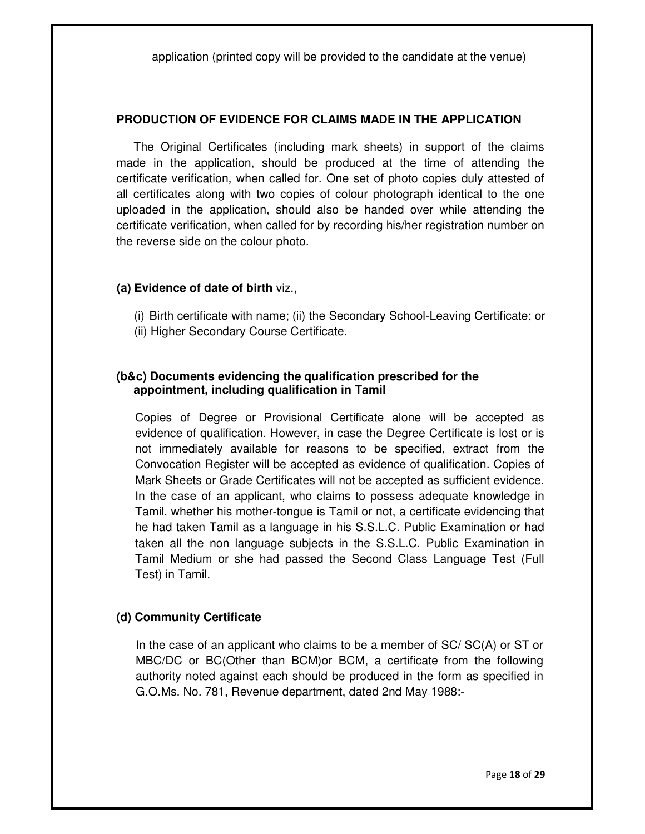application (printed copy will be provided to the candidate at the venue)

### **PRODUCTION OF EVIDENCE FOR CLAIMS MADE IN THE APPLICATION**

The Original Certificates (including mark sheets) in support of the claims made in the application, should be produced at the time of attending the certificate verification, when called for. One set of photo copies duly attested of all certificates along with two copies of colour photograph identical to the one uploaded in the application, should also be handed over while attending the certificate verification, when called for by recording his/her registration number on the reverse side on the colour photo.

#### **(a) Evidence of date of birth** viz.,

- (i) Birth certificate with name; (ii) the Secondary School-Leaving Certificate; or
- (ii) Higher Secondary Course Certificate.

### **(b&c) Documents evidencing the qualification prescribed for the appointment, including qualification in Tamil**

Copies of Degree or Provisional Certificate alone will be accepted as evidence of qualification. However, in case the Degree Certificate is lost or is not immediately available for reasons to be specified, extract from the Convocation Register will be accepted as evidence of qualification. Copies of Mark Sheets or Grade Certificates will not be accepted as sufficient evidence. In the case of an applicant, who claims to possess adequate knowledge in Tamil, whether his mother-tongue is Tamil or not, a certificate evidencing that he had taken Tamil as a language in his S.S.L.C. Public Examination or had taken all the non language subjects in the S.S.L.C. Public Examination in Tamil Medium or she had passed the Second Class Language Test (Full Test) in Tamil.

## **(d) Community Certificate**

In the case of an applicant who claims to be a member of SC/ SC(A) or ST or MBC/DC or BC(Other than BCM)or BCM, a certificate from the following authority noted against each should be produced in the form as specified in G.O.Ms. No. 781, Revenue department, dated 2nd May 1988:-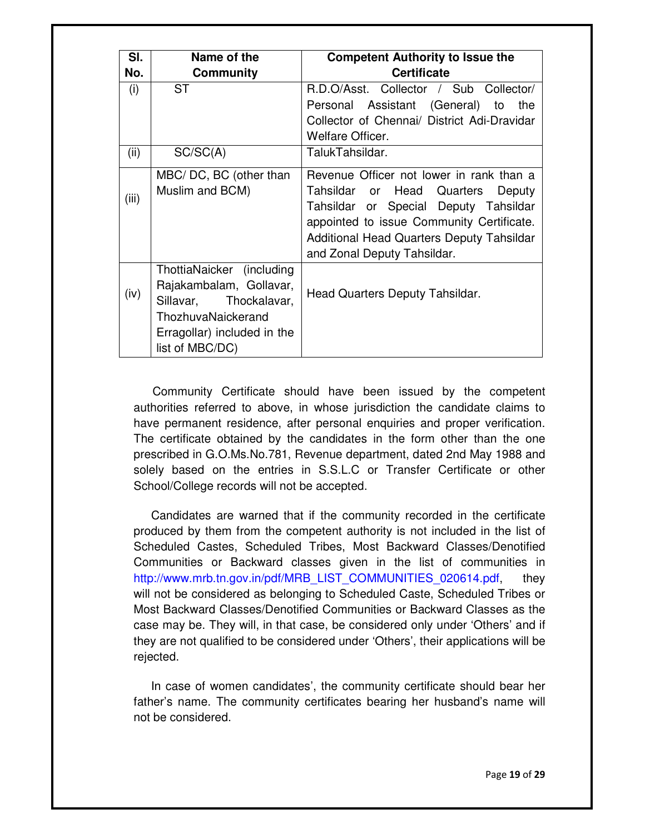| SI.   | Name of the                 | <b>Competent Authority to Issue the</b>          |  |
|-------|-----------------------------|--------------------------------------------------|--|
| No.   | <b>Community</b>            | <b>Certificate</b>                               |  |
| (i)   | <b>ST</b>                   | R.D.O/Asst. Collector / Sub Collector/           |  |
|       |                             | Personal Assistant (General) to<br>the           |  |
|       |                             | Collector of Chennai/ District Adi-Dravidar      |  |
|       |                             | Welfare Officer.                                 |  |
| (ii)  | SC/SC(A)                    | TalukTahsildar.                                  |  |
|       | MBC/DC, BC (other than      | Revenue Officer not lower in rank than a         |  |
|       | Muslim and BCM)             | Tahsildar or Head Quarters<br>Deputy             |  |
| (iii) |                             | Tahsildar or Special Deputy Tahsildar            |  |
|       |                             | appointed to issue Community Certificate.        |  |
|       |                             | <b>Additional Head Quarters Deputy Tahsildar</b> |  |
|       |                             | and Zonal Deputy Tahsildar.                      |  |
|       | ThottiaNaicker (including   |                                                  |  |
| (iv)  | Rajakambalam, Gollavar,     | Head Quarters Deputy Tahsildar.                  |  |
|       | Sillavar, Thockalavar,      |                                                  |  |
|       | ThozhuvaNaickerand          |                                                  |  |
|       | Erragollar) included in the |                                                  |  |
|       | list of MBC/DC)             |                                                  |  |

Community Certificate should have been issued by the competent authorities referred to above, in whose jurisdiction the candidate claims to have permanent residence, after personal enquiries and proper verification. The certificate obtained by the candidates in the form other than the one prescribed in G.O.Ms.No.781, Revenue department, dated 2nd May 1988 and solely based on the entries in S.S.L.C or Transfer Certificate or other School/College records will not be accepted.

Candidates are warned that if the community recorded in the certificate produced by them from the competent authority is not included in the list of Scheduled Castes, Scheduled Tribes, Most Backward Classes/Denotified Communities or Backward classes given in the list of communities in http://www.mrb.tn.gov.in/pdf/MRB\_LIST\_COMMUNITIES\_020614.pdf, they will not be considered as belonging to Scheduled Caste, Scheduled Tribes or Most Backward Classes/Denotified Communities or Backward Classes as the case may be. They will, in that case, be considered only under 'Others' and if they are not qualified to be considered under 'Others', their applications will be rejected.

In case of women candidates', the community certificate should bear her father's name. The community certificates bearing her husband's name will not be considered.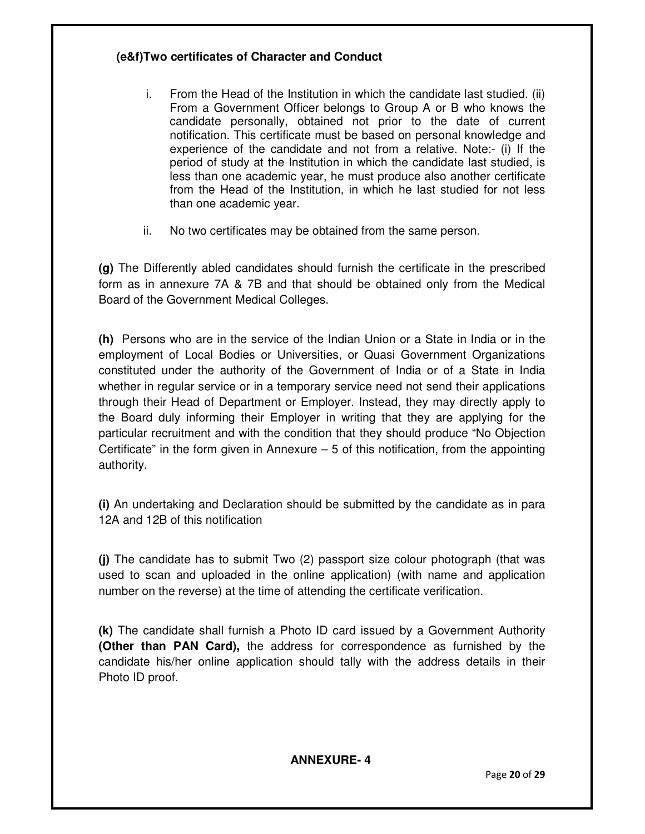# **(e&f)Two certificates of Character and Conduct**

- i. From the Head of the Institution in which the candidate last studied. (ii) From a Government Officer belongs to Group A or B who knows the candidate personally, obtained not prior to the date of current notification. This certificate must be based on personal knowledge and experience of the candidate and not from a relative. Note:- (i) If the period of study at the Institution in which the candidate last studied, is less than one academic year, he must produce also another certificate from the Head of the Institution, in which he last studied for not less than one academic year.
- ii. No two certificates may be obtained from the same person.

**(g)** The Differently abled candidates should furnish the certificate in the prescribed form as in annexure 7A & 7B and that should be obtained only from the Medical Board of the Government Medical Colleges.

**(h)** Persons who are in the service of the Indian Union or a State in India or in the employment of Local Bodies or Universities, or Quasi Government Organizations constituted under the authority of the Government of India or of a State in India whether in regular service or in a temporary service need not send their applications through their Head of Department or Employer. Instead, they may directly apply to the Board duly informing their Employer in writing that they are applying for the particular recruitment and with the condition that they should produce "No Objection Certificate" in the form given in Annexure  $-5$  of this notification, from the appointing authority.

**(i)** An undertaking and Declaration should be submitted by the candidate as in para 12A and 12B of this notification

**(j)** The candidate has to submit Two (2) passport size colour photograph (that was used to scan and uploaded in the online application) (with name and application number on the reverse) at the time of attending the certificate verification.

**(k)** The candidate shall furnish a Photo ID card issued by a Government Authority **(Other than PAN Card),** the address for correspondence as furnished by the candidate his/her online application should tally with the address details in their Photo ID proof.

# **ANNEXURE- 4**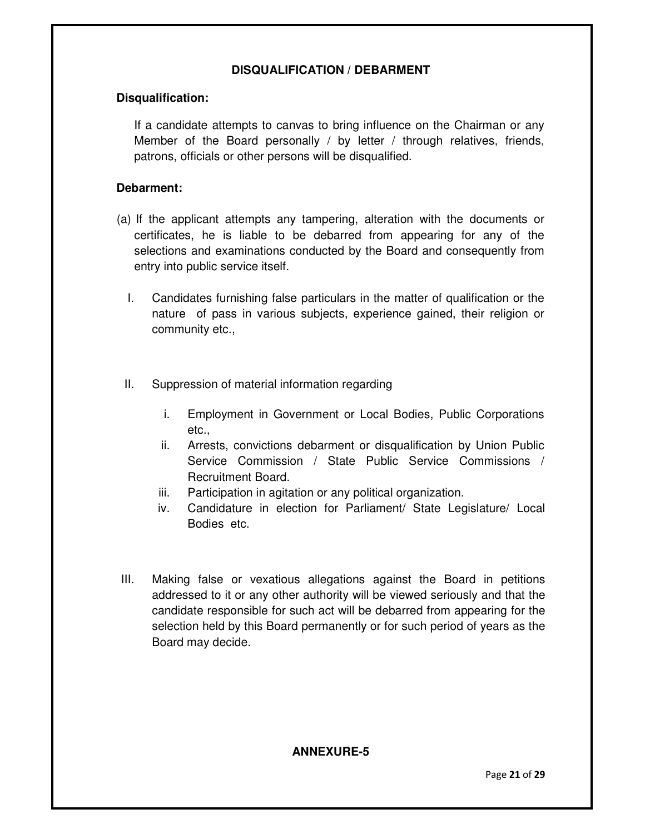# **DISQUALIFICATION / DEBARMENT**

## **Disqualification:**

If a candidate attempts to canvas to bring influence on the Chairman or any Member of the Board personally / by letter / through relatives, friends, patrons, officials or other persons will be disqualified.

## **Debarment:**

- (a) If the applicant attempts any tampering, alteration with the documents or certificates, he is liable to be debarred from appearing for any of the selections and examinations conducted by the Board and consequently from entry into public service itself.
	- I. Candidates furnishing false particulars in the matter of qualification or the nature of pass in various subjects, experience gained, their religion or community etc.,
	- II. Suppression of material information regarding
		- i. Employment in Government or Local Bodies, Public Corporations etc.,
		- ii. Arrests, convictions debarment or disqualification by Union Public Service Commission / State Public Service Commissions / Recruitment Board.
		- iii. Participation in agitation or any political organization.
		- iv. Candidature in election for Parliament/ State Legislature/ Local Bodies etc.
- III. Making false or vexatious allegations against the Board in petitions addressed to it or any other authority will be viewed seriously and that the candidate responsible for such act will be debarred from appearing for the selection held by this Board permanently or for such period of years as the Board may decide.

# **ANNEXURE-5**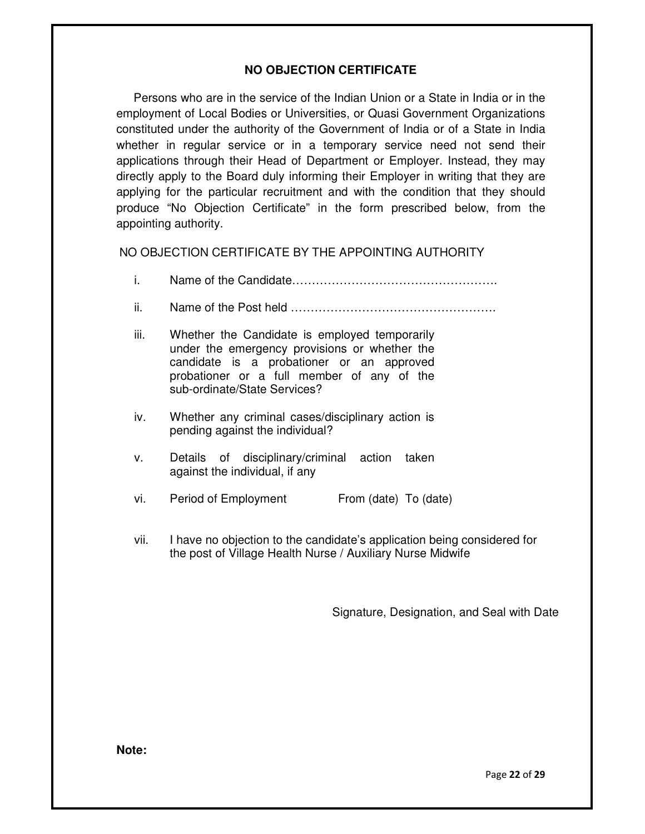# **NO OBJECTION CERTIFICATE**

Persons who are in the service of the Indian Union or a State in India or in the employment of Local Bodies or Universities, or Quasi Government Organizations constituted under the authority of the Government of India or of a State in India whether in regular service or in a temporary service need not send their applications through their Head of Department or Employer. Instead, they may directly apply to the Board duly informing their Employer in writing that they are applying for the particular recruitment and with the condition that they should produce "No Objection Certificate" in the form prescribed below, from the appointing authority.

NO OBJECTION CERTIFICATE BY THE APPOINTING AUTHORITY

- i. Name of the Candidate…………………………………………….
- ii. Name of the Post held …………………………………………….
- iii. Whether the Candidate is employed temporarily under the emergency provisions or whether the candidate is a probationer or an approved probationer or a full member of any of the sub-ordinate/State Services?
- iv. Whether any criminal cases/disciplinary action is pending against the individual?
- v. Details of disciplinary/criminal action taken against the individual, if any
- vi. Period of Employment From (date) To (date)
- vii. I have no objection to the candidate's application being considered for the post of Village Health Nurse / Auxiliary Nurse Midwife

Signature, Designation, and Seal with Date

**Note:** 

Page **22** of **29**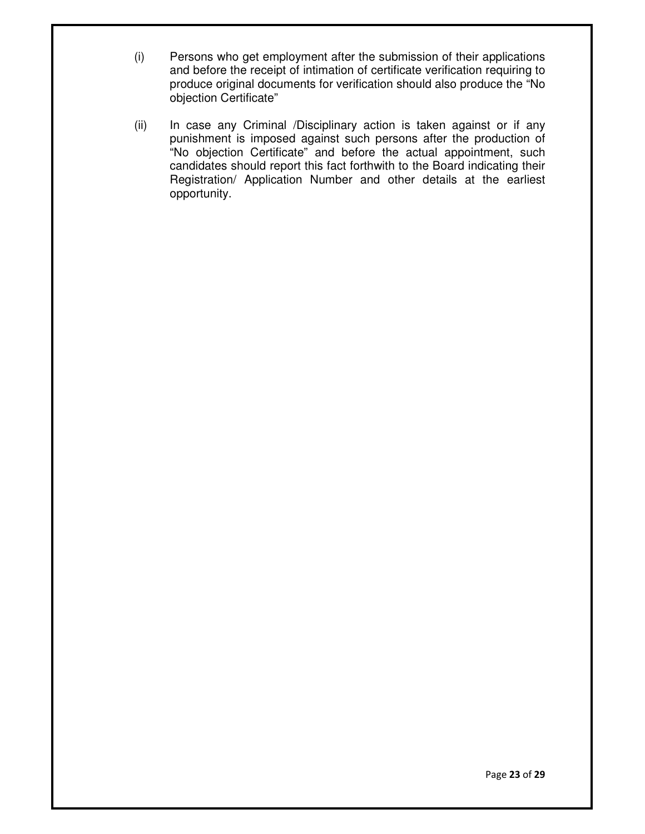- (i) Persons who get employment after the submission of their applications and before the receipt of intimation of certificate verification requiring to produce original documents for verification should also produce the "No objection Certificate"
- (ii) In case any Criminal /Disciplinary action is taken against or if any punishment is imposed against such persons after the production of "No objection Certificate" and before the actual appointment, such candidates should report this fact forthwith to the Board indicating their Registration/ Application Number and other details at the earliest opportunity.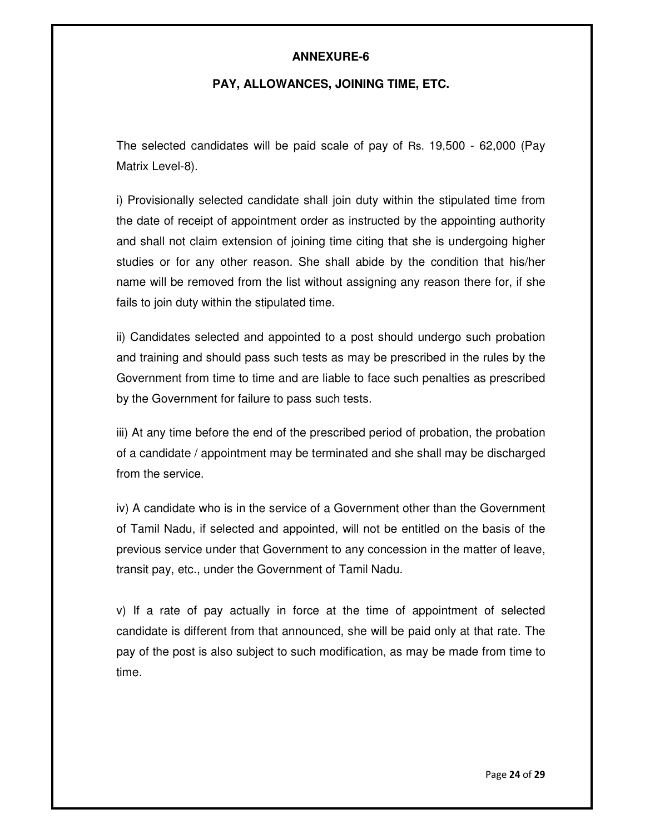## **ANNEXURE-6**

## **PAY, ALLOWANCES, JOINING TIME, ETC.**

The selected candidates will be paid scale of pay of Rs. 19,500 - 62,000 (Pay Matrix Level-8).

i) Provisionally selected candidate shall join duty within the stipulated time from the date of receipt of appointment order as instructed by the appointing authority and shall not claim extension of joining time citing that she is undergoing higher studies or for any other reason. She shall abide by the condition that his/her name will be removed from the list without assigning any reason there for, if she fails to join duty within the stipulated time.

ii) Candidates selected and appointed to a post should undergo such probation and training and should pass such tests as may be prescribed in the rules by the Government from time to time and are liable to face such penalties as prescribed by the Government for failure to pass such tests.

iii) At any time before the end of the prescribed period of probation, the probation of a candidate / appointment may be terminated and she shall may be discharged from the service.

iv) A candidate who is in the service of a Government other than the Government of Tamil Nadu, if selected and appointed, will not be entitled on the basis of the previous service under that Government to any concession in the matter of leave, transit pay, etc., under the Government of Tamil Nadu.

v) If a rate of pay actually in force at the time of appointment of selected candidate is different from that announced, she will be paid only at that rate. The pay of the post is also subject to such modification, as may be made from time to time.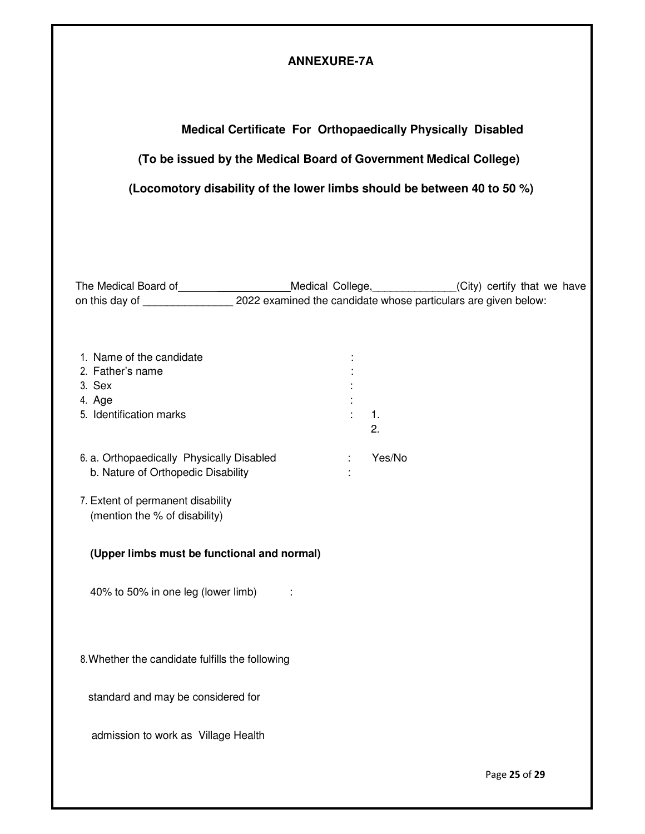# **ANNEXURE-7A**

# **Medical Certificate For Orthopaedically Physically Disabled**

# **(To be issued by the Medical Board of Government Medical College)**

# **(Locomotory disability of the lower limbs should be between 40 to 50 %)**

The Medical Board of \_\_\_\_\_\_\_\_\_\_\_\_\_\_\_\_\_\_\_\_Medical College, \_\_\_\_\_\_\_\_\_\_\_\_\_(City) certify that we have on this day of \_\_\_\_\_\_\_\_\_\_\_\_\_\_\_ 2022 examined the candidate whose particulars are given below:

| 1. Name of the candidate                  |        |
|-------------------------------------------|--------|
| 2. Father's name                          |        |
| 3. Sex                                    |        |
| 4. Age                                    |        |
| 5. Identification marks                   | 1.     |
|                                           | 2.     |
|                                           |        |
| 6. a. Orthopaedically Physically Disabled | Yes/No |

b. Nature of Orthopedic Disability :

7. Extent of permanent disability (mention the % of disability)

## **(Upper limbs must be functional and normal)**

40% to 50% in one leg (lower limb) :

8. Whether the candidate fulfills the following

standard and may be considered for

admission to work as Village Health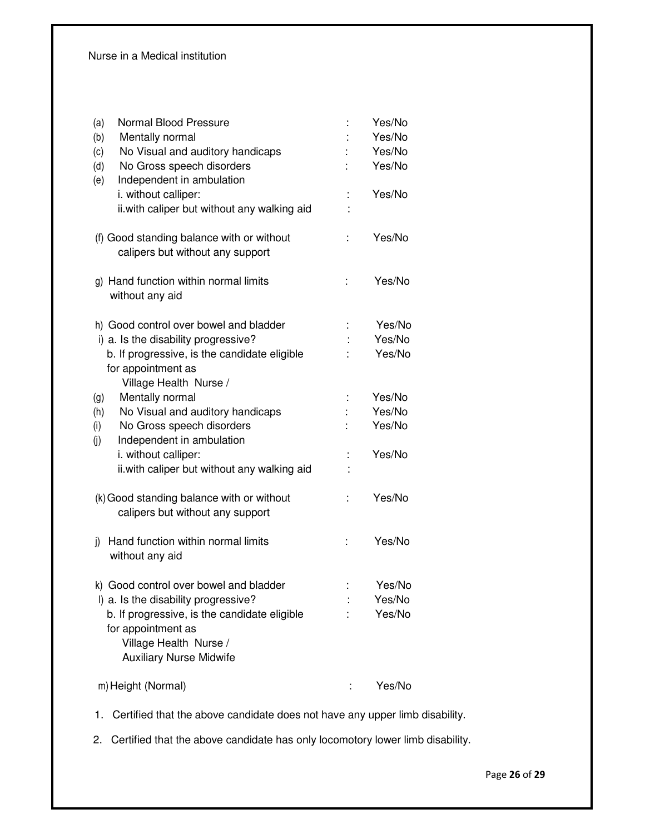| Normal Blood Pressure<br>(a)<br>(b)<br>Mentally normal<br>No Visual and auditory handicaps<br>(c)                              |   | Yes/No<br>Yes/No<br>Yes/No |
|--------------------------------------------------------------------------------------------------------------------------------|---|----------------------------|
| No Gross speech disorders<br>(d)<br>Independent in ambulation<br>(e)                                                           |   | Yes/No                     |
| i. without calliper:<br>ii. with caliper but without any walking aid                                                           |   | Yes/No                     |
| (f) Good standing balance with or without<br>calipers but without any support                                                  |   | Yes/No                     |
| g) Hand function within normal limits<br>without any aid                                                                       | ÷ | Yes/No                     |
| h) Good control over bowel and bladder                                                                                         |   | Yes/No                     |
| i) a. Is the disability progressive?                                                                                           |   | Yes/No                     |
| b. If progressive, is the candidate eligible                                                                                   |   | Yes/No                     |
| for appointment as<br>Village Health Nurse /                                                                                   |   |                            |
| Mentally normal<br>(g)                                                                                                         |   | Yes/No                     |
| No Visual and auditory handicaps<br>(h)                                                                                        |   | Yes/No                     |
| No Gross speech disorders<br>(i)                                                                                               |   | Yes/No                     |
| Independent in ambulation<br>(i)                                                                                               |   |                            |
| i. without calliper:                                                                                                           |   | Yes/No                     |
| ii. with caliper but without any walking aid                                                                                   |   |                            |
| (k) Good standing balance with or without<br>calipers but without any support                                                  |   | Yes/No                     |
| Hand function within normal limits<br>j)<br>without any aid                                                                    | t | Yes/No                     |
| k) Good control over bowel and bladder                                                                                         |   | Yes/No                     |
| I) a. Is the disability progressive?                                                                                           |   | Yes/No                     |
| b. If progressive, is the candidate eligible<br>for appointment as<br>Village Health Nurse /<br><b>Auxiliary Nurse Midwife</b> |   | Yes/No                     |
| m) Height (Normal)                                                                                                             |   | Yes/No                     |

1. Certified that the above candidate does not have any upper limb disability.

2. Certified that the above candidate has only locomotory lower limb disability.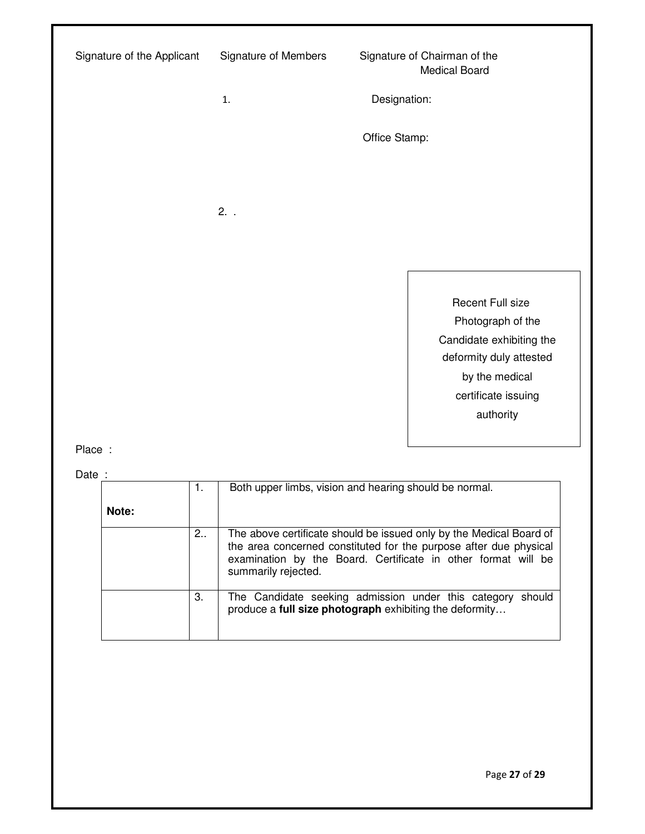| Signature of the Applicant | Signature of Members | Signature of Chairman of the | <b>Medical Board</b>                                                                                                                               |  |
|----------------------------|----------------------|------------------------------|----------------------------------------------------------------------------------------------------------------------------------------------------|--|
|                            | 1.                   | Designation:                 |                                                                                                                                                    |  |
|                            |                      | Office Stamp:                |                                                                                                                                                    |  |
|                            |                      |                              |                                                                                                                                                    |  |
|                            | $2.$ .               |                              |                                                                                                                                                    |  |
|                            |                      |                              |                                                                                                                                                    |  |
|                            |                      |                              | Recent Full size<br>Photograph of the<br>Candidate exhibiting the<br>deformity duly attested<br>by the medical<br>certificate issuing<br>authority |  |
| Place :                    |                      |                              |                                                                                                                                                    |  |

Date :

|       | 1.   | Both upper limbs, vision and hearing should be normal.                                                                                                                                                                           |
|-------|------|----------------------------------------------------------------------------------------------------------------------------------------------------------------------------------------------------------------------------------|
| Note: |      |                                                                                                                                                                                                                                  |
|       | 2. . | The above certificate should be issued only by the Medical Board of<br>the area concerned constituted for the purpose after due physical<br>examination by the Board. Certificate in other format will be<br>summarily rejected. |
|       | 3.   | The Candidate seeking admission under this category should<br>produce a full size photograph exhibiting the deformity                                                                                                            |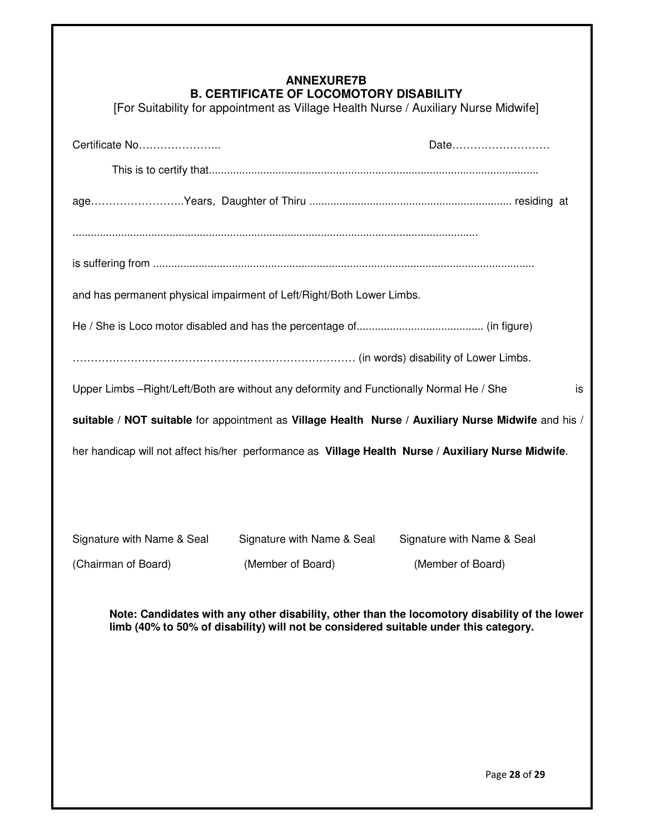## **ANNEXURE7B B. CERTIFICATE OF LOCOMOTORY DISABILITY**

[For Suitability for appointment as Village Health Nurse / Auxiliary Nurse Midwife]

| Certificate No                                                                                                                                                                        | Date                                                                  |                            |  |  |
|---------------------------------------------------------------------------------------------------------------------------------------------------------------------------------------|-----------------------------------------------------------------------|----------------------------|--|--|
|                                                                                                                                                                                       |                                                                       |                            |  |  |
|                                                                                                                                                                                       |                                                                       |                            |  |  |
|                                                                                                                                                                                       |                                                                       |                            |  |  |
|                                                                                                                                                                                       |                                                                       |                            |  |  |
|                                                                                                                                                                                       | and has permanent physical impairment of Left/Right/Both Lower Limbs. |                            |  |  |
|                                                                                                                                                                                       |                                                                       |                            |  |  |
|                                                                                                                                                                                       |                                                                       |                            |  |  |
| Upper Limbs -- Right/Left/Both are without any deformity and Functionally Normal He / She<br>is                                                                                       |                                                                       |                            |  |  |
| suitable / NOT suitable for appointment as Village Health Nurse / Auxiliary Nurse Midwife and his /                                                                                   |                                                                       |                            |  |  |
| her handicap will not affect his/her performance as Village Health Nurse / Auxiliary Nurse Midwife.                                                                                   |                                                                       |                            |  |  |
|                                                                                                                                                                                       |                                                                       |                            |  |  |
|                                                                                                                                                                                       |                                                                       |                            |  |  |
| Signature with Name & Seal                                                                                                                                                            | Signature with Name & Seal                                            | Signature with Name & Seal |  |  |
| (Chairman of Board)                                                                                                                                                                   | (Member of Board)                                                     | (Member of Board)          |  |  |
| Note: Candidates with any other disability, other than the locomotory disability of the lower<br>limb (40% to 50% of disability) will not be considered suitable under this category. |                                                                       |                            |  |  |